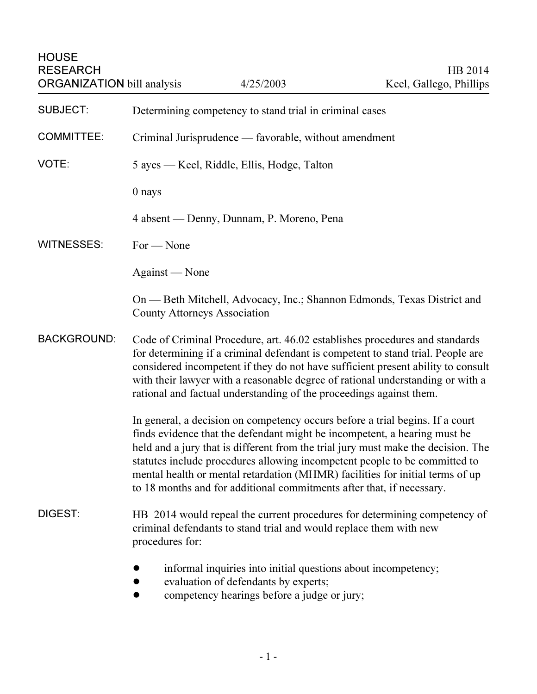| <b>SUBJECT:</b>    | Determining competency to stand trial in criminal cases                                                                                                                                                                                                                                                                                                                                                                                                                                 |
|--------------------|-----------------------------------------------------------------------------------------------------------------------------------------------------------------------------------------------------------------------------------------------------------------------------------------------------------------------------------------------------------------------------------------------------------------------------------------------------------------------------------------|
| <b>COMMITTEE:</b>  | Criminal Jurisprudence — favorable, without amendment                                                                                                                                                                                                                                                                                                                                                                                                                                   |
| VOTE:              | 5 ayes — Keel, Riddle, Ellis, Hodge, Talton                                                                                                                                                                                                                                                                                                                                                                                                                                             |
|                    | 0 nays                                                                                                                                                                                                                                                                                                                                                                                                                                                                                  |
|                    | 4 absent — Denny, Dunnam, P. Moreno, Pena                                                                                                                                                                                                                                                                                                                                                                                                                                               |
| <b>WITNESSES:</b>  | $For - None$                                                                                                                                                                                                                                                                                                                                                                                                                                                                            |
|                    | Against — None                                                                                                                                                                                                                                                                                                                                                                                                                                                                          |
|                    | On — Beth Mitchell, Advocacy, Inc.; Shannon Edmonds, Texas District and<br><b>County Attorneys Association</b>                                                                                                                                                                                                                                                                                                                                                                          |
| <b>BACKGROUND:</b> | Code of Criminal Procedure, art. 46.02 establishes procedures and standards<br>for determining if a criminal defendant is competent to stand trial. People are<br>considered incompetent if they do not have sufficient present ability to consult<br>with their lawyer with a reasonable degree of rational understanding or with a<br>rational and factual understanding of the proceedings against them.                                                                             |
|                    | In general, a decision on competency occurs before a trial begins. If a court<br>finds evidence that the defendant might be incompetent, a hearing must be<br>held and a jury that is different from the trial jury must make the decision. The<br>statutes include procedures allowing incompetent people to be committed to<br>mental health or mental retardation (MHMR) facilities for initial terms of up<br>to 18 months and for additional commitments after that, if necessary. |
| DIGEST:            | HB 2014 would repeal the current procedures for determining competency of<br>criminal defendants to stand trial and would replace them with new<br>procedures for:                                                                                                                                                                                                                                                                                                                      |
|                    | informal inquiries into initial questions about incompetency;<br>evaluation of defendants by experts;<br>competency hearings before a judge or jury;                                                                                                                                                                                                                                                                                                                                    |

- 1 -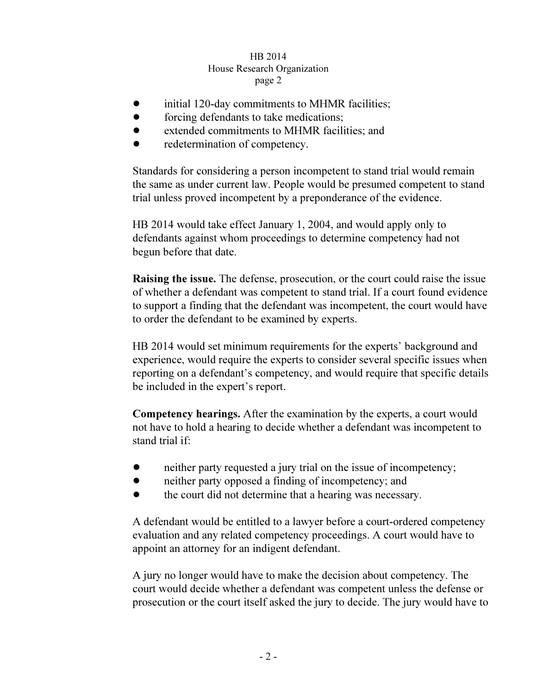## HB 2014 House Research Organization page 2  $r^{2}$

- initial 120-day commitments to MHMR facilities;
- forcing defendants to take medications:
- extended commitments to MHMR facilities; and
- redetermination of competency.

Standards for considering a person incompetent to stand trial would remain the same as under current law. People would be presumed competent to stand trial unless proved incompetent by a preponderance of the evidence.

HB 2014 would take effect January 1, 2004, and would apply only to defendants against whom proceedings to determine competency had not begun before that date.

Raising the issue. The defense, prosecution, or the court could raise the issue of whether a defendant was competent to stand trial. If a court found evidence to support a finding that the defendant was incompetent, the court would have to order the defendant to be examined by experts.

HB 2014 would set minimum requirements for the experts' background and experience, would require the experts to consider several specific issues when reporting on a defendant's competency, and would require that specific details be included in the expert's report.

Competency hearings. After the examination by the experts, a court would not have to hold a hearing to decide whether a defendant was incompetent to stand trial if:

- neither party requested a jury trial on the issue of incompetency;
- ! neither party opposed a finding of incompetency; and
- ! the court did not determine that a hearing was necessary.

A defendant would be entitled to a lawyer before a court-ordered competency evaluation and any related competency proceedings. A court would have to appoint an attorney for an indigent defendant.

A jury no longer would have to make the decision about competency. The court would decide whether a defendant was competent unless the defense or prosecution or the court itself asked the jury to decide. The jury would have to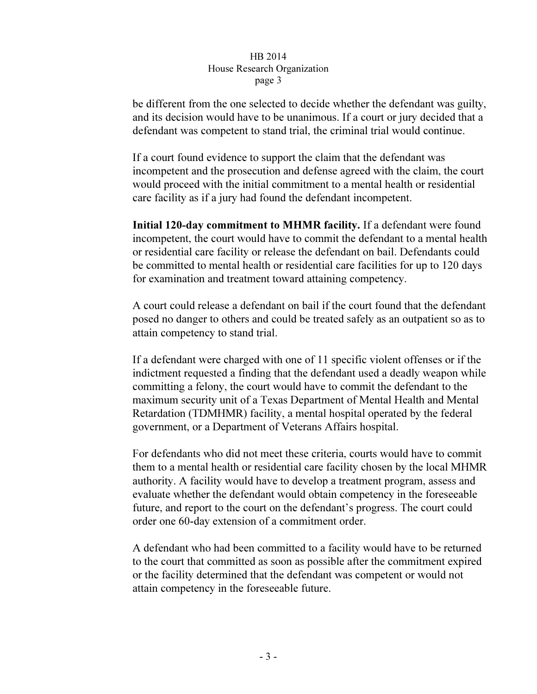## HB 2014 House Research Organization page 3  $\mathbf{r}$   $\mathbf{r}$   $\mathbf{s}$   $\mathbf{r}$   $\mathbf{s}$

be different from the one selected to decide whether the defendant was guilty, and its decision would have to be unanimous. If a court or jury decided that a defendant was competent to stand trial, the criminal trial would continue.

If a court found evidence to support the claim that the defendant was incompetent and the prosecution and defense agreed with the claim, the court would proceed with the initial commitment to a mental health or residential care facility as if a jury had found the defendant incompetent.

Initial 120-day commitment to MHMR facility. If a defendant were found incompetent, the court would have to commit the defendant to a mental health or residential care facility or release the defendant on bail. Defendants could be committed to mental health or residential care facilities for up to 120 days for examination and treatment toward attaining competency.

A court could release a defendant on bail if the court found that the defendant posed no danger to others and could be treated safely as an outpatient so as to attain competency to stand trial.

If a defendant were charged with one of 11 specific violent offenses or if the indictment requested a finding that the defendant used a deadly weapon while committing a felony, the court would have to commit the defendant to the maximum security unit of a Texas Department of Mental Health and Mental Retardation (TDMHMR) facility, a mental hospital operated by the federal government, or a Department of Veterans Affairs hospital.

For defendants who did not meet these criteria, courts would have to commit them to a mental health or residential care facility chosen by the local MHMR authority. A facility would have to develop a treatment program, assess and evaluate whether the defendant would obtain competency in the foreseeable future, and report to the court on the defendant's progress. The court could order one 60-day extension of a commitment order.

A defendant who had been committed to a facility would have to be returned to the court that committed as soon as possible after the commitment expired or the facility determined that the defendant was competent or would not attain competency in the foreseeable future.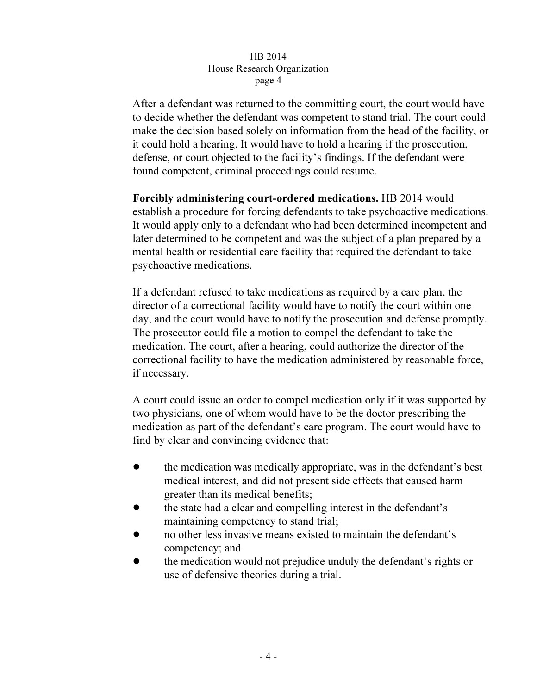## HB 2014 House Research Organization page 4  $\mathbf{r}^{\mu}$ ge  $\mathbf{r}$

After a defendant was returned to the committing court, the court would have to decide whether the defendant was competent to stand trial. The court could make the decision based solely on information from the head of the facility, or it could hold a hearing. It would have to hold a hearing if the prosecution, defense, or court objected to the facility's findings. If the defendant were found competent, criminal proceedings could resume.

Forcibly administering court-ordered medications. HB 2014 would establish a procedure for forcing defendants to take psychoactive medications. It would apply only to a defendant who had been determined incompetent and later determined to be competent and was the subject of a plan prepared by a mental health or residential care facility that required the defendant to take psychoactive medications.

If a defendant refused to take medications as required by a care plan, the director of a correctional facility would have to notify the court within one day, and the court would have to notify the prosecution and defense promptly. The prosecutor could file a motion to compel the defendant to take the medication. The court, after a hearing, could authorize the director of the correctional facility to have the medication administered by reasonable force, if necessary.

A court could issue an order to compel medication only if it was supported by two physicians, one of whom would have to be the doctor prescribing the medication as part of the defendant's care program. The court would have to find by clear and convincing evidence that:

- ! the medication was medically appropriate, was in the defendant's best medical interest, and did not present side effects that caused harm greater than its medical benefits;
- ! the state had a clear and compelling interest in the defendant's maintaining competency to stand trial;
- ! no other less invasive means existed to maintain the defendant's competency; and
- ! the medication would not prejudice unduly the defendant's rights or use of defensive theories during a trial.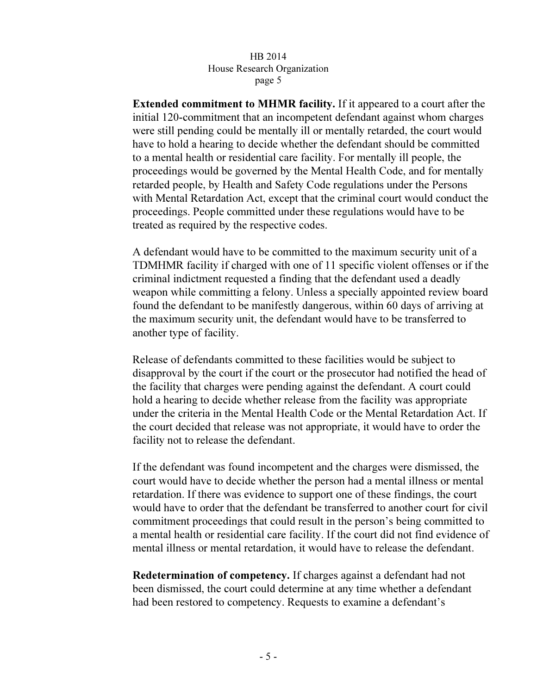## HB 2014 House Research Organization page 5  $r^{\alpha}$

Extended commitment to MHMR facility. If it appeared to a court after the initial 120-commitment that an incompetent defendant against whom charges were still pending could be mentally ill or mentally retarded, the court would have to hold a hearing to decide whether the defendant should be committed to a mental health or residential care facility. For mentally ill people, the proceedings would be governed by the Mental Health Code, and for mentally retarded people, by Health and Safety Code regulations under the Persons with Mental Retardation Act, except that the criminal court would conduct the proceedings. People committed under these regulations would have to be treated as required by the respective codes.

A defendant would have to be committed to the maximum security unit of a TDMHMR facility if charged with one of 11 specific violent offenses or if the criminal indictment requested a finding that the defendant used a deadly weapon while committing a felony. Unless a specially appointed review board found the defendant to be manifestly dangerous, within 60 days of arriving at the maximum security unit, the defendant would have to be transferred to another type of facility.

Release of defendants committed to these facilities would be subject to disapproval by the court if the court or the prosecutor had notified the head of the facility that charges were pending against the defendant. A court could hold a hearing to decide whether release from the facility was appropriate under the criteria in the Mental Health Code or the Mental Retardation Act. If the court decided that release was not appropriate, it would have to order the facility not to release the defendant.

If the defendant was found incompetent and the charges were dismissed, the court would have to decide whether the person had a mental illness or mental retardation. If there was evidence to support one of these findings, the court would have to order that the defendant be transferred to another court for civil commitment proceedings that could result in the person's being committed to a mental health or residential care facility. If the court did not find evidence of mental illness or mental retardation, it would have to release the defendant.

Redetermination of competency. If charges against a defendant had not been dismissed, the court could determine at any time whether a defendant had been restored to competency. Requests to examine a defendant's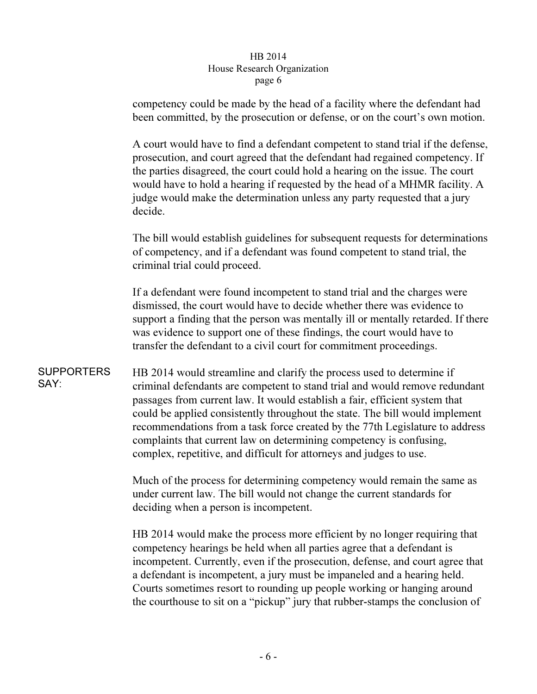## HB 2014 House Research Organization page 6  $r^{\alpha}$

competency could be made by the head of a facility where the defendant had been committed, by the prosecution or defense, or on the court's own motion.

A court would have to find a defendant competent to stand trial if the defense, prosecution, and court agreed that the defendant had regained competency. If the parties disagreed, the court could hold a hearing on the issue. The court would have to hold a hearing if requested by the head of a MHMR facility. A judge would make the determination unless any party requested that a jury decide.

The bill would establish guidelines for subsequent requests for determinations of competency, and if a defendant was found competent to stand trial, the criminal trial could proceed.

If a defendant were found incompetent to stand trial and the charges were dismissed, the court would have to decide whether there was evidence to support a finding that the person was mentally ill or mentally retarded. If there was evidence to support one of these findings, the court would have to transfer the defendant to a civil court for commitment proceedings.

SUPPORTERS SAY: HB 2014 would streamline and clarify the process used to determine if criminal defendants are competent to stand trial and would remove redundant passages from current law. It would establish a fair, efficient system that could be applied consistently throughout the state. The bill would implement recommendations from a task force created by the 77th Legislature to address complaints that current law on determining competency is confusing, complex, repetitive, and difficult for attorneys and judges to use.

> Much of the process for determining competency would remain the same as under current law. The bill would not change the current standards for deciding when a person is incompetent.

HB 2014 would make the process more efficient by no longer requiring that competency hearings be held when all parties agree that a defendant is incompetent. Currently, even if the prosecution, defense, and court agree that a defendant is incompetent, a jury must be impaneled and a hearing held. Courts sometimes resort to rounding up people working or hanging around the courthouse to sit on a "pickup" jury that rubber-stamps the conclusion of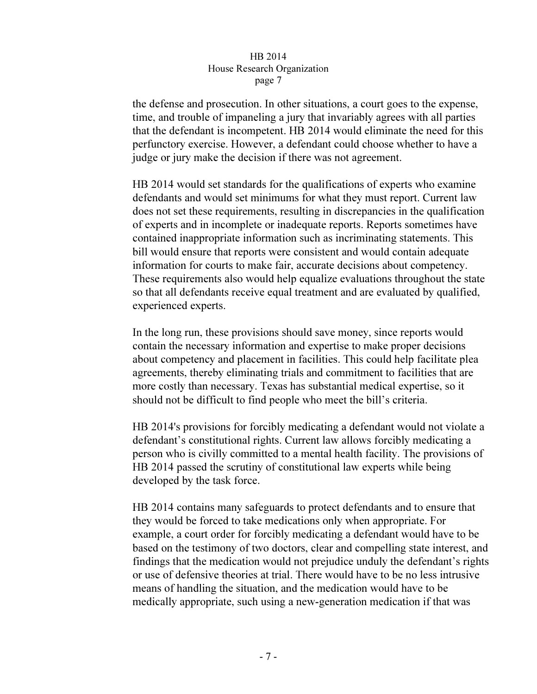### HB 2014 House Research Organization page 7  $r^{\alpha}e^{\alpha}$

the defense and prosecution. In other situations, a court goes to the expense, time, and trouble of impaneling a jury that invariably agrees with all parties that the defendant is incompetent. HB 2014 would eliminate the need for this perfunctory exercise. However, a defendant could choose whether to have a judge or jury make the decision if there was not agreement.

HB 2014 would set standards for the qualifications of experts who examine defendants and would set minimums for what they must report. Current law does not set these requirements, resulting in discrepancies in the qualification of experts and in incomplete or inadequate reports. Reports sometimes have contained inappropriate information such as incriminating statements. This bill would ensure that reports were consistent and would contain adequate information for courts to make fair, accurate decisions about competency. These requirements also would help equalize evaluations throughout the state so that all defendants receive equal treatment and are evaluated by qualified, experienced experts.

In the long run, these provisions should save money, since reports would contain the necessary information and expertise to make proper decisions about competency and placement in facilities. This could help facilitate plea agreements, thereby eliminating trials and commitment to facilities that are more costly than necessary. Texas has substantial medical expertise, so it should not be difficult to find people who meet the bill's criteria.

HB 2014's provisions for forcibly medicating a defendant would not violate a defendant's constitutional rights. Current law allows forcibly medicating a person who is civilly committed to a mental health facility. The provisions of HB 2014 passed the scrutiny of constitutional law experts while being developed by the task force.

HB 2014 contains many safeguards to protect defendants and to ensure that they would be forced to take medications only when appropriate. For example, a court order for forcibly medicating a defendant would have to be based on the testimony of two doctors, clear and compelling state interest, and findings that the medication would not prejudice unduly the defendant's rights or use of defensive theories at trial. There would have to be no less intrusive means of handling the situation, and the medication would have to be medically appropriate, such using a new-generation medication if that was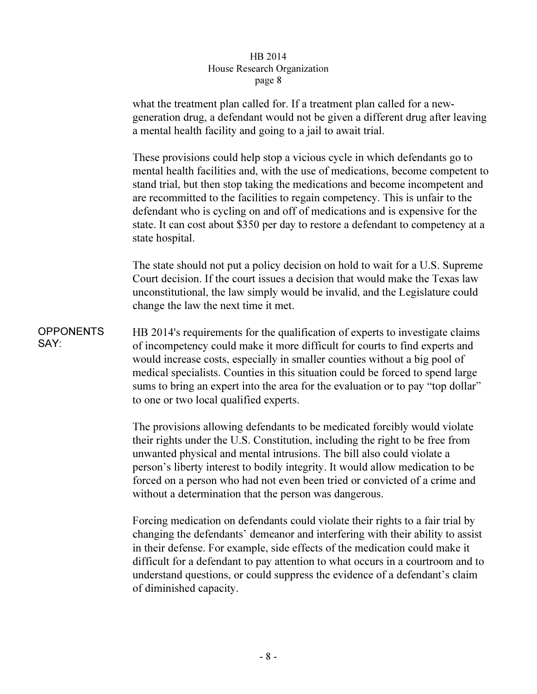## HB 2014 House Research Organization page 8  $r^{\alpha}e^{\alpha}$

what the treatment plan called for. If a treatment plan called for a newgeneration drug, a defendant would not be given a different drug after leaving a mental health facility and going to a jail to await trial.

These provisions could help stop a vicious cycle in which defendants go to mental health facilities and, with the use of medications, become competent to stand trial, but then stop taking the medications and become incompetent and are recommitted to the facilities to regain competency. This is unfair to the defendant who is cycling on and off of medications and is expensive for the state. It can cost about \$350 per day to restore a defendant to competency at a state hospital.

The state should not put a policy decision on hold to wait for a U.S. Supreme Court decision. If the court issues a decision that would make the Texas law unconstitutional, the law simply would be invalid, and the Legislature could change the law the next time it met.

**OPPONENTS** SAY: HB 2014's requirements for the qualification of experts to investigate claims of incompetency could make it more difficult for courts to find experts and would increase costs, especially in smaller counties without a big pool of medical specialists. Counties in this situation could be forced to spend large sums to bring an expert into the area for the evaluation or to pay "top dollar" to one or two local qualified experts.

> The provisions allowing defendants to be medicated forcibly would violate their rights under the U.S. Constitution, including the right to be free from unwanted physical and mental intrusions. The bill also could violate a person's liberty interest to bodily integrity. It would allow medication to be forced on a person who had not even been tried or convicted of a crime and without a determination that the person was dangerous.

Forcing medication on defendants could violate their rights to a fair trial by changing the defendants' demeanor and interfering with their ability to assist in their defense. For example, side effects of the medication could make it difficult for a defendant to pay attention to what occurs in a courtroom and to understand questions, or could suppress the evidence of a defendant's claim of diminished capacity.